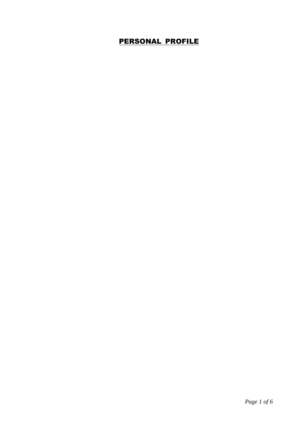## PERSONAL PROFILE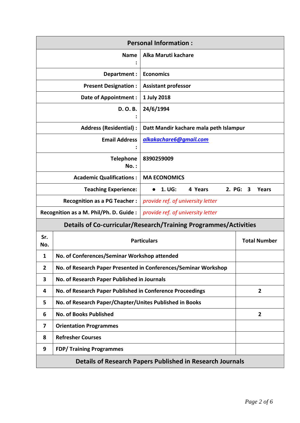| <b>Personal Information:</b>                                             |                                                                 |                                        |                     |  |  |
|--------------------------------------------------------------------------|-----------------------------------------------------------------|----------------------------------------|---------------------|--|--|
|                                                                          | <b>Name</b>                                                     | Alka Maruti kachare                    |                     |  |  |
| Department:                                                              |                                                                 | <b>Economics</b>                       |                     |  |  |
| <b>Present Designation:</b>                                              |                                                                 | <b>Assistant professor</b>             |                     |  |  |
| <b>Date of Appointment:</b>                                              |                                                                 | 1 July 2018                            |                     |  |  |
| D. O. B.                                                                 |                                                                 | 24/6/1994                              |                     |  |  |
| <b>Address (Residential):</b>                                            |                                                                 | Datt Mandir kachare mala peth Islampur |                     |  |  |
| <b>Email Address</b>                                                     |                                                                 | alkakachare6@gmail.com                 |                     |  |  |
| <b>Telephone</b><br>$No.$ :                                              |                                                                 | 8390259009                             |                     |  |  |
|                                                                          | <b>Academic Qualifications:</b>                                 | <b>MA ECONOMICS</b>                    |                     |  |  |
| <b>Teaching Experience:</b><br>4 Years<br>2. PG:<br>1. UG:<br>3<br>Years |                                                                 |                                        |                     |  |  |
|                                                                          | <b>Recognition as a PG Teacher:</b>                             | provide ref. of university letter      |                     |  |  |
|                                                                          | Recognition as a M. Phil/Ph. D. Guide :                         | provide ref. of university letter      |                     |  |  |
| <b>Details of Co-curricular/Research/Training Programmes/Activities</b>  |                                                                 |                                        |                     |  |  |
| Sr.<br>No.                                                               | <b>Particulars</b>                                              |                                        | <b>Total Number</b> |  |  |
| 1                                                                        | No. of Conferences/Seminar Workshop attended                    |                                        |                     |  |  |
| $\mathbf{2}$                                                             | No. of Research Paper Presented in Conferences/Seminar Workshop |                                        |                     |  |  |
| 3                                                                        | No. of Research Paper Published in Journals                     |                                        |                     |  |  |
| 4                                                                        | No. of Research Paper Published in Conference Proceedings       | $\overline{2}$                         |                     |  |  |
| 5                                                                        | No. of Research Paper/Chapter/Unites Published in Books         |                                        |                     |  |  |
| 6                                                                        | <b>No. of Books Published</b>                                   |                                        | $\overline{2}$      |  |  |
| 7                                                                        | <b>Orientation Programmes</b>                                   |                                        |                     |  |  |
| 8                                                                        | <b>Refresher Courses</b>                                        |                                        |                     |  |  |
| 9                                                                        | <b>FDP/ Training Programmes</b>                                 |                                        |                     |  |  |
| <b>Details of Research Papers Published in Research Journals</b>         |                                                                 |                                        |                     |  |  |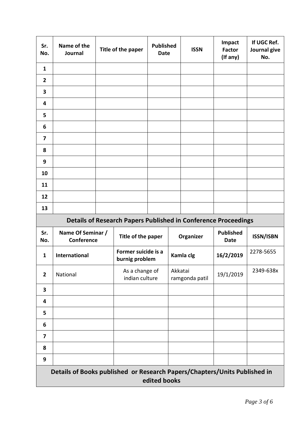| Sr.<br>No.              | Name of the<br>Journal                                                |  | Title of the paper                    | <b>Published</b><br><b>Date</b> |         | <b>ISSN</b>    | Impact<br><b>Factor</b><br>(If any) | If UGC Ref.<br>Journal give<br>No. |
|-------------------------|-----------------------------------------------------------------------|--|---------------------------------------|---------------------------------|---------|----------------|-------------------------------------|------------------------------------|
| $\mathbf{1}$            |                                                                       |  |                                       |                                 |         |                |                                     |                                    |
| $\overline{2}$          |                                                                       |  |                                       |                                 |         |                |                                     |                                    |
| 3                       |                                                                       |  |                                       |                                 |         |                |                                     |                                    |
| 4                       |                                                                       |  |                                       |                                 |         |                |                                     |                                    |
| 5                       |                                                                       |  |                                       |                                 |         |                |                                     |                                    |
| 6                       |                                                                       |  |                                       |                                 |         |                |                                     |                                    |
| $\overline{\mathbf{z}}$ |                                                                       |  |                                       |                                 |         |                |                                     |                                    |
| 8                       |                                                                       |  |                                       |                                 |         |                |                                     |                                    |
| 9                       |                                                                       |  |                                       |                                 |         |                |                                     |                                    |
| 10                      |                                                                       |  |                                       |                                 |         |                |                                     |                                    |
| 11                      |                                                                       |  |                                       |                                 |         |                |                                     |                                    |
| 12                      |                                                                       |  |                                       |                                 |         |                |                                     |                                    |
| 13                      |                                                                       |  |                                       |                                 |         |                |                                     |                                    |
|                         | <b>Details of Research Papers Published in Conference Proceedings</b> |  |                                       |                                 |         |                |                                     |                                    |
| Sr.<br>No.              | Name Of Seminar /                                                     |  |                                       |                                 |         | Organizer      | <b>Published</b>                    | <b>ISSN/ISBN</b>                   |
|                         | Conference                                                            |  | Title of the paper                    |                                 |         |                | <b>Date</b>                         |                                    |
| $\mathbf{1}$            | International                                                         |  | Former suicide is a<br>burnig problem |                                 |         | Kamla clg      | 16/2/2019                           | 2278-5655                          |
| $\overline{2}$          | National                                                              |  | As a change of<br>indian culture      |                                 | Akkatai | ramgonda patil | 19/1/2019                           | 2349-638x                          |
| 3                       |                                                                       |  |                                       |                                 |         |                |                                     |                                    |
| 4                       |                                                                       |  |                                       |                                 |         |                |                                     |                                    |
| 5                       |                                                                       |  |                                       |                                 |         |                |                                     |                                    |
| 6                       |                                                                       |  |                                       |                                 |         |                |                                     |                                    |
| 7                       |                                                                       |  |                                       |                                 |         |                |                                     |                                    |
| 8                       |                                                                       |  |                                       |                                 |         |                |                                     |                                    |
| 9                       |                                                                       |  |                                       |                                 |         |                |                                     |                                    |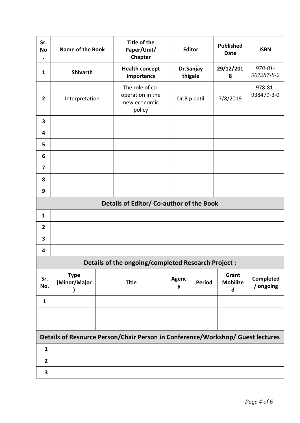| Sr.<br><b>No</b><br>$\bullet$ | Name of the Book                                                               | Title of the<br>Paper/Unit/<br><b>Chapter</b>                 |                   | <b>Editor</b>        | <b>Published</b><br><b>Date</b> | <b>ISBN</b>                   |
|-------------------------------|--------------------------------------------------------------------------------|---------------------------------------------------------------|-------------------|----------------------|---------------------------------|-------------------------------|
| $\mathbf{1}$                  | <b>Shivarth</b>                                                                | <b>Health concept</b><br>importancs                           |                   | Dr.Sanjay<br>thigale | 29/12/201<br>8                  | 978-81-<br>907287-8-2         |
| $\overline{2}$                | Interpretation                                                                 | The role of co-<br>operation in the<br>new economic<br>policy |                   | Dr.B p patil         | 7/8/2019                        | 978-81-<br>938479-3-0         |
| 3                             |                                                                                |                                                               |                   |                      |                                 |                               |
| 4                             |                                                                                |                                                               |                   |                      |                                 |                               |
| 5                             |                                                                                |                                                               |                   |                      |                                 |                               |
| 6                             |                                                                                |                                                               |                   |                      |                                 |                               |
| $\overline{7}$                |                                                                                |                                                               |                   |                      |                                 |                               |
| 8                             |                                                                                |                                                               |                   |                      |                                 |                               |
| 9                             |                                                                                |                                                               |                   |                      |                                 |                               |
|                               | Details of Editor/ Co-author of the Book                                       |                                                               |                   |                      |                                 |                               |
| $\mathbf{1}$                  |                                                                                |                                                               |                   |                      |                                 |                               |
| $\overline{2}$                |                                                                                |                                                               |                   |                      |                                 |                               |
| 3                             |                                                                                |                                                               |                   |                      |                                 |                               |
| 4                             |                                                                                |                                                               |                   |                      |                                 |                               |
|                               | Details of the ongoing/completed Research Project :                            |                                                               |                   |                      |                                 |                               |
| Sr.<br>No.                    | <b>Type</b><br>(Minor/Major                                                    | <b>Title</b>                                                  | <b>Agenc</b><br>y | <b>Period</b>        | Grant<br><b>Mobilize</b><br>d   | <b>Completed</b><br>/ ongoing |
| $\mathbf{1}$                  |                                                                                |                                                               |                   |                      |                                 |                               |
|                               |                                                                                |                                                               |                   |                      |                                 |                               |
|                               |                                                                                |                                                               |                   |                      |                                 |                               |
|                               | Details of Resource Person/Chair Person in Conference/Workshop/ Guest lectures |                                                               |                   |                      |                                 |                               |
| $\mathbf{1}$                  |                                                                                |                                                               |                   |                      |                                 |                               |
| $\mathbf{2}$                  |                                                                                |                                                               |                   |                      |                                 |                               |
| 3                             |                                                                                |                                                               |                   |                      |                                 |                               |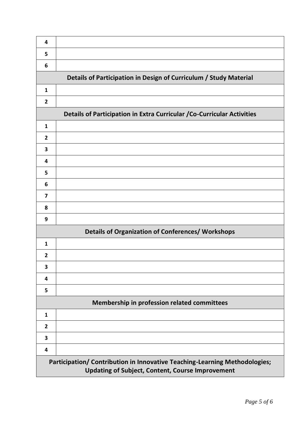| 4              |                                                                                                                                       |
|----------------|---------------------------------------------------------------------------------------------------------------------------------------|
| 5              |                                                                                                                                       |
| 6              |                                                                                                                                       |
|                | Details of Participation in Design of Curriculum / Study Material                                                                     |
| $\mathbf{1}$   |                                                                                                                                       |
| $\overline{2}$ |                                                                                                                                       |
|                | Details of Participation in Extra Curricular / Co-Curricular Activities                                                               |
| $\mathbf{1}$   |                                                                                                                                       |
| $\overline{2}$ |                                                                                                                                       |
| 3              |                                                                                                                                       |
| 4              |                                                                                                                                       |
| 5              |                                                                                                                                       |
| 6              |                                                                                                                                       |
| $\overline{7}$ |                                                                                                                                       |
| 8              |                                                                                                                                       |
| 9              |                                                                                                                                       |
|                | <b>Details of Organization of Conferences/ Workshops</b>                                                                              |
| $\mathbf{1}$   |                                                                                                                                       |
| $\overline{2}$ |                                                                                                                                       |
| 3              |                                                                                                                                       |
| 4              |                                                                                                                                       |
| 5              |                                                                                                                                       |
|                | Membership in profession related committees                                                                                           |
| $\mathbf{1}$   |                                                                                                                                       |
| $\overline{2}$ |                                                                                                                                       |
| 3              |                                                                                                                                       |
| 4              |                                                                                                                                       |
|                | Participation/ Contribution in Innovative Teaching-Learning Methodologies;<br><b>Updating of Subject, Content, Course Improvement</b> |